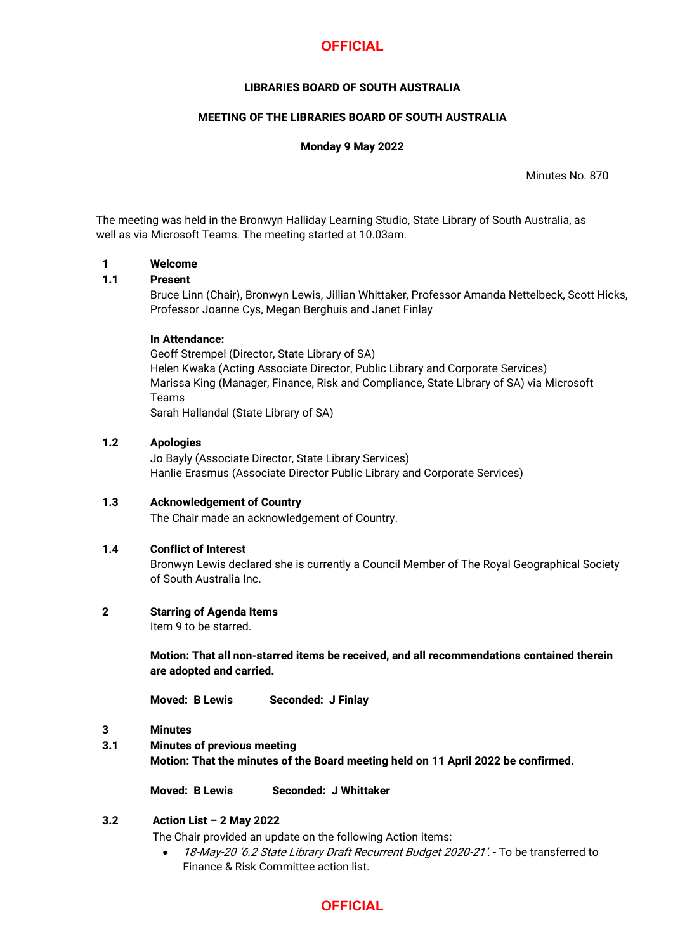# **OFFICIAL**

# **LIBRARIES BOARD OF SOUTH AUSTRALIA**

# **MEETING OF THE LIBRARIES BOARD OF SOUTH AUSTRALIA**

# **Monday 9 May 2022**

Minutes No. 870

The meeting was held in the Bronwyn Halliday Learning Studio, State Library of South Australia, as well as via Microsoft Teams. The meeting started at 10.03am.

### **1 Welcome**

# **1.1 Present**

Bruce Linn (Chair), Bronwyn Lewis, Jillian Whittaker, Professor Amanda Nettelbeck, Scott Hicks, Professor Joanne Cys, Megan Berghuis and Janet Finlay

### **In Attendance:**

Geoff Strempel (Director, State Library of SA) Helen Kwaka (Acting Associate Director, Public Library and Corporate Services) Marissa King (Manager, Finance, Risk and Compliance, State Library of SA) via Microsoft Teams Sarah Hallandal (State Library of SA)

### **1.2 Apologies**

Jo Bayly (Associate Director, State Library Services) Hanlie Erasmus (Associate Director Public Library and Corporate Services)

# **1.3 Acknowledgement of Country** The Chair made an acknowledgement of Country.

# **1.4 Conflict of Interest**

Bronwyn Lewis declared she is currently a Council Member of The Royal Geographical Society of South Australia Inc.

# **2 Starring of Agenda Items**

Item 9 to be starred.

**Motion: That all non-starred items be received, and all recommendations contained therein are adopted and carried.**

**Moved: B Lewis Seconded: J Finlay**

- **3 Minutes**
- **3.1 Minutes of previous meeting**

**Motion: That the minutes of the Board meeting held on 11 April 2022 be confirmed.**

**Moved: B Lewis Seconded: J Whittaker**

# **3.2 Action List – 2 May 2022**

The Chair provided an update on the following Action items:

• 18-May-20 '6.2 State Library Draft Recurrent Budget 2020-21'. - To be transferred to Finance & Risk Committee action list.

# **OFFICIAL**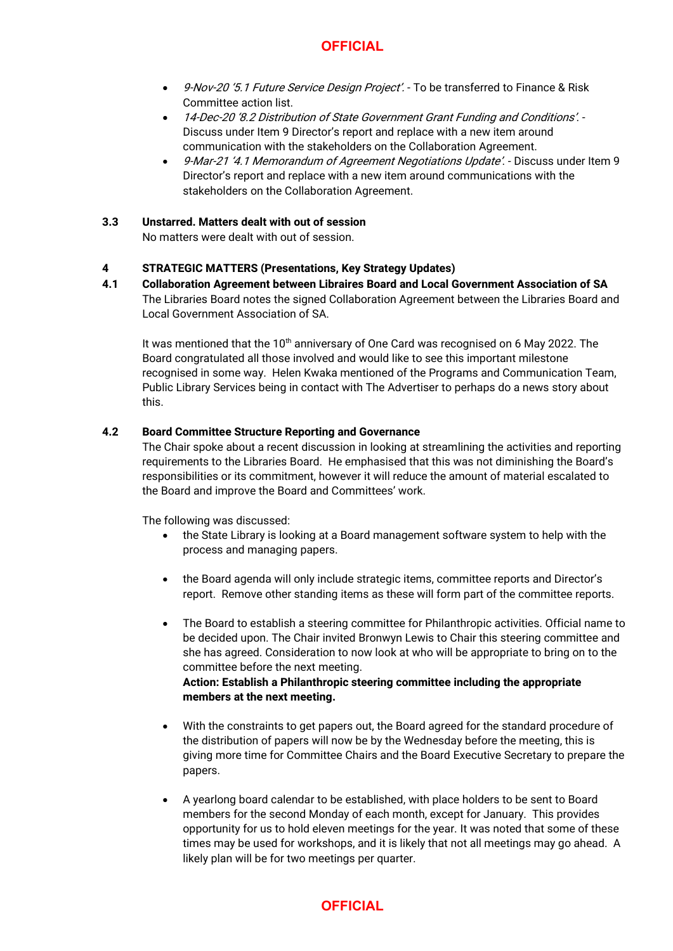# **OFFICIAL**

- 9-Nov-20 '5.1 Future Service Design Project'. To be transferred to Finance & Risk Committee action list.
- 14-Dec-20 '8.2 Distribution of State Government Grant Funding and Conditions'. Discuss under Item 9 Director's report and replace with a new item around communication with the stakeholders on the Collaboration Agreement.
- 9-Mar-21 '4.1 Memorandum of Agreement Negotiations Update'. Discuss under Item 9 Director's report and replace with a new item around communications with the stakeholders on the Collaboration Agreement.

# **3.3 Unstarred. Matters dealt with out of session**

No matters were dealt with out of session.

# **4 STRATEGIC MATTERS (Presentations, Key Strategy Updates)**

**4.1 Collaboration Agreement between Libraires Board and Local Government Association of SA** The Libraries Board notes the signed Collaboration Agreement between the Libraries Board and Local Government Association of SA.

It was mentioned that the 10<sup>th</sup> anniversary of One Card was recognised on 6 May 2022. The Board congratulated all those involved and would like to see this important milestone recognised in some way. Helen Kwaka mentioned of the Programs and Communication Team, Public Library Services being in contact with The Advertiser to perhaps do a news story about this.

# **4.2 Board Committee Structure Reporting and Governance**

The Chair spoke about a recent discussion in looking at streamlining the activities and reporting requirements to the Libraries Board. He emphasised that this was not diminishing the Board's responsibilities or its commitment, however it will reduce the amount of material escalated to the Board and improve the Board and Committees' work.

The following was discussed:

- the State Library is looking at a Board management software system to help with the process and managing papers.
- the Board agenda will only include strategic items, committee reports and Director's report. Remove other standing items as these will form part of the committee reports.
- The Board to establish a steering committee for Philanthropic activities. Official name to be decided upon. The Chair invited Bronwyn Lewis to Chair this steering committee and she has agreed. Consideration to now look at who will be appropriate to bring on to the committee before the next meeting. **Action: Establish a Philanthropic steering committee including the appropriate members at the next meeting.**
- With the constraints to get papers out, the Board agreed for the standard procedure of the distribution of papers will now be by the Wednesday before the meeting, this is giving more time for Committee Chairs and the Board Executive Secretary to prepare the papers.
- A yearlong board calendar to be established, with place holders to be sent to Board members for the second Monday of each month, except for January. This provides opportunity for us to hold eleven meetings for the year. It was noted that some of these times may be used for workshops, and it is likely that not all meetings may go ahead. A likely plan will be for two meetings per quarter.

# **OFFICIAL**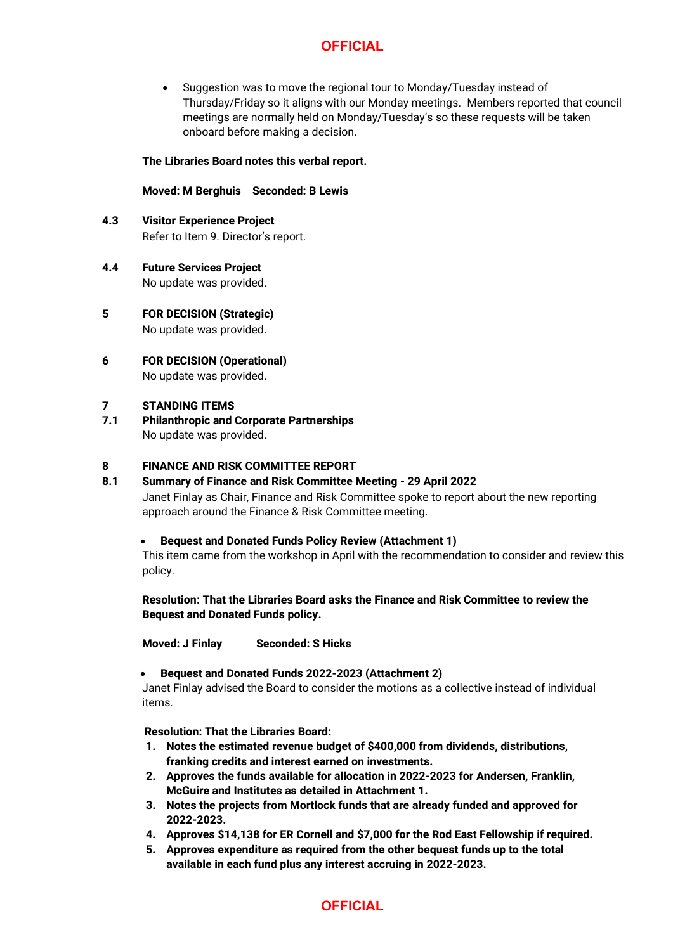# **OFFICIAL**

• Suggestion was to move the regional tour to Monday/Tuesday instead of Thursday/Friday so it aligns with our Monday meetings. Members reported that council meetings are normally held on Monday/Tuesday's so these requests will be taken onboard before making a decision.

# **The Libraries Board notes this verbal report.**

# **Moved: M Berghuis Seconded: B Lewis**

- **4.3 Visitor Experience Project** Refer to Item 9. Director's report.
- **4.4 Future Services Project** No update was provided.
- **5 FOR DECISION (Strategic)** No update was provided.
- **6 FOR DECISION (Operational)** No update was provided.

#### **7 STANDING ITEMS**

**7.1 Philanthropic and Corporate Partnerships** No update was provided.

# **8 FINANCE AND RISK COMMITTEE REPORT**

# **8.1 Summary of Finance and Risk Committee Meeting - 29 April 2022**

Janet Finlay as Chair, Finance and Risk Committee spoke to report about the new reporting approach around the Finance & Risk Committee meeting.

# • **Bequest and Donated Funds Policy Review (Attachment 1)**

This item came from the workshop in April with the recommendation to consider and review this policy.

**Resolution: That the Libraries Board asks the Finance and Risk Committee to review the Bequest and Donated Funds policy.** 

**Moved: J Finlay Seconded: S Hicks**

# • **Bequest and Donated Funds 2022-2023 (Attachment 2)**

Janet Finlay advised the Board to consider the motions as a collective instead of individual items.

**Resolution: That the Libraries Board:**

- **1. Notes the estimated revenue budget of \$400,000 from dividends, distributions, franking credits and interest earned on investments.**
- **2. Approves the funds available for allocation in 2022-2023 for Andersen, Franklin, McGuire and Institutes as detailed in Attachment 1.**
- **3. Notes the projects from Mortlock funds that are already funded and approved for 2022-2023.**
- **4. Approves \$14,138 for ER Cornell and \$7,000 for the Rod East Fellowship if required.**
- **5. Approves expenditure as required from the other bequest funds up to the total available in each fund plus any interest accruing in 2022-2023.**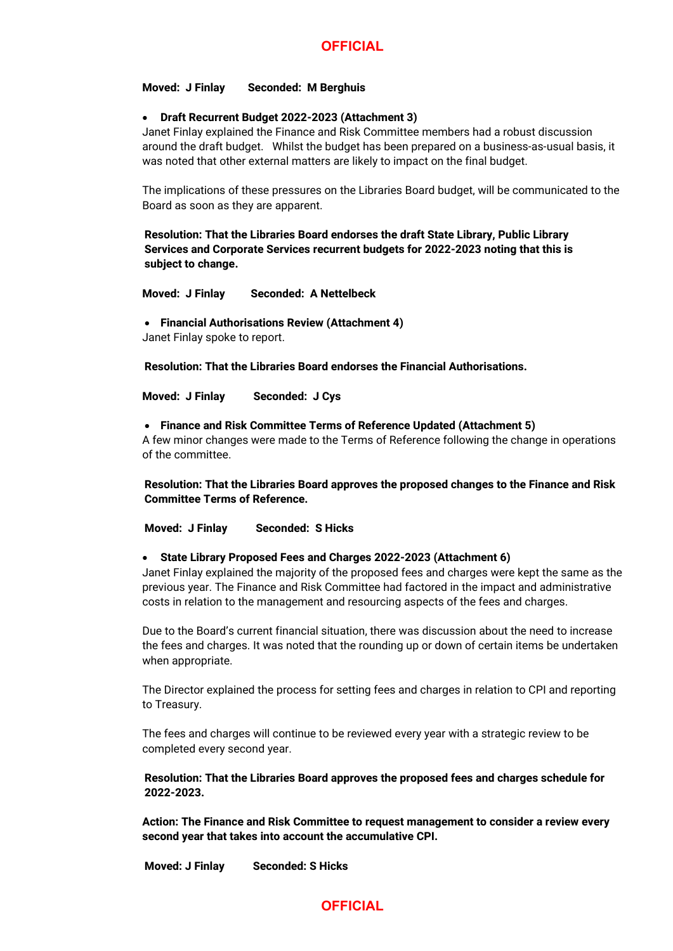#### **Moved: J Finlay Seconded: M Berghuis**

### • **Draft Recurrent Budget 2022-2023 (Attachment 3)**

Janet Finlay explained the Finance and Risk Committee members had a robust discussion around the draft budget. Whilst the budget has been prepared on a business-as-usual basis, it was noted that other external matters are likely to impact on the final budget.

The implications of these pressures on the Libraries Board budget, will be communicated to the Board as soon as they are apparent.

**Resolution: That the Libraries Board endorses the draft State Library, Public Library Services and Corporate Services recurrent budgets for 2022-2023 noting that this is subject to change.**

**Moved: J Finlay Seconded: A Nettelbeck**

• **Financial Authorisations Review (Attachment 4)**

Janet Finlay spoke to report.

**Resolution: That the Libraries Board endorses the Financial Authorisations.**

**Moved: J Finlay Seconded: J Cys**

• **Finance and Risk Committee Terms of Reference Updated (Attachment 5)**

A few minor changes were made to the Terms of Reference following the change in operations of the committee.

**Resolution: That the Libraries Board approves the proposed changes to the Finance and Risk Committee Terms of Reference.**

**Moved: J Finlay Seconded: S Hicks**

#### • **State Library Proposed Fees and Charges 2022-2023 (Attachment 6)**

Janet Finlay explained the majority of the proposed fees and charges were kept the same as the previous year. The Finance and Risk Committee had factored in the impact and administrative costs in relation to the management and resourcing aspects of the fees and charges.

Due to the Board's current financial situation, there was discussion about the need to increase the fees and charges. It was noted that the rounding up or down of certain items be undertaken when appropriate.

The Director explained the process for setting fees and charges in relation to CPI and reporting to Treasury.

The fees and charges will continue to be reviewed every year with a strategic review to be completed every second year.

**Resolution: That the Libraries Board approves the proposed fees and charges schedule for 2022-2023.**

**Action: The Finance and Risk Committee to request management to consider a review every second year that takes into account the accumulative CPI.**

**Moved: J Finlay Seconded: S Hicks**

# **OFFICIAL**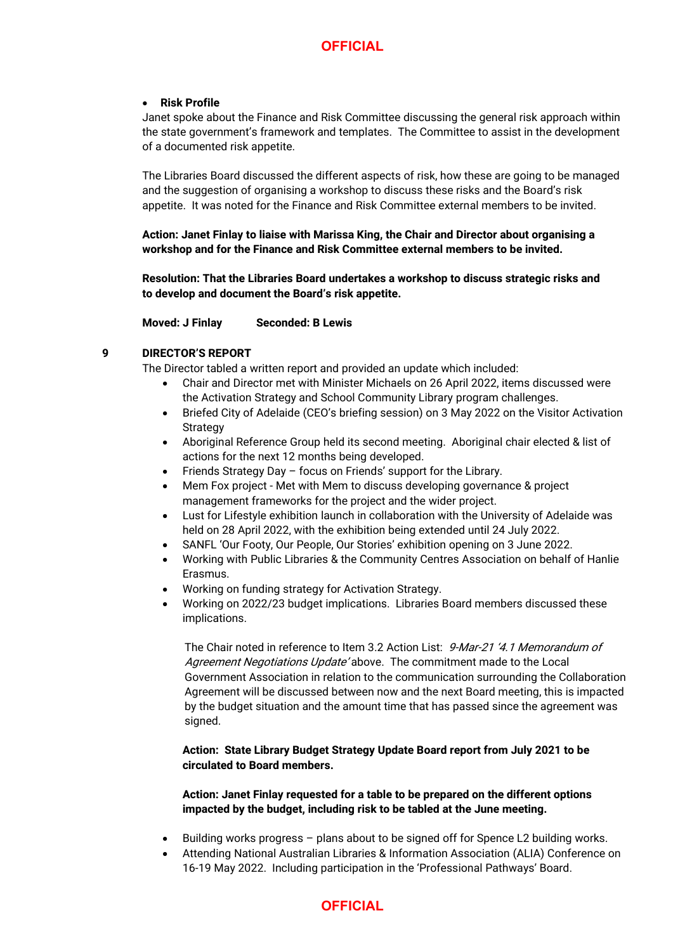### • **Risk Profile**

Janet spoke about the Finance and Risk Committee discussing the general risk approach within the state government's framework and templates. The Committee to assist in the development of a documented risk appetite.

The Libraries Board discussed the different aspects of risk, how these are going to be managed and the suggestion of organising a workshop to discuss these risks and the Board's risk appetite. It was noted for the Finance and Risk Committee external members to be invited.

**Action: Janet Finlay to liaise with Marissa King, the Chair and Director about organising a workshop and for the Finance and Risk Committee external members to be invited.**

**Resolution: That the Libraries Board undertakes a workshop to discuss strategic risks and to develop and document the Board's risk appetite.** 

**Moved: J Finlay Seconded: B Lewis**

# **9 DIRECTOR'S REPORT**

The Director tabled a written report and provided an update which included:

- Chair and Director met with Minister Michaels on 26 April 2022, items discussed were the Activation Strategy and School Community Library program challenges.
- Briefed City of Adelaide (CEO's briefing session) on 3 May 2022 on the Visitor Activation **Strategy**
- Aboriginal Reference Group held its second meeting. Aboriginal chair elected & list of actions for the next 12 months being developed.
- Friends Strategy Day focus on Friends' support for the Library.
- Mem Fox project Met with Mem to discuss developing governance & project management frameworks for the project and the wider project.
- Lust for Lifestyle exhibition launch in collaboration with the University of Adelaide was held on 28 April 2022, with the exhibition being extended until 24 July 2022.
- SANFL 'Our Footy, Our People, Our Stories' exhibition opening on 3 June 2022.
- Working with Public Libraries & the Community Centres Association on behalf of Hanlie Erasmus.
- Working on funding strategy for Activation Strategy.
- Working on 2022/23 budget implications. Libraries Board members discussed these implications.

The Chair noted in reference to Item 3.2 Action List: 9-Mar-21 '4.1 Memorandum of Agreement Negotiations Update above. The commitment made to the Local Government Association in relation to the communication surrounding the Collaboration Agreement will be discussed between now and the next Board meeting, this is impacted by the budget situation and the amount time that has passed since the agreement was signed.

# **Action: State Library Budget Strategy Update Board report from July 2021 to be circulated to Board members.**

**Action: Janet Finlay requested for a table to be prepared on the different options impacted by the budget, including risk to be tabled at the June meeting.**

- Building works progress plans about to be signed off for Spence L2 building works.
- Attending National Australian Libraries & Information Association (ALIA) Conference on 16-19 May 2022. Including participation in the 'Professional Pathways' Board.